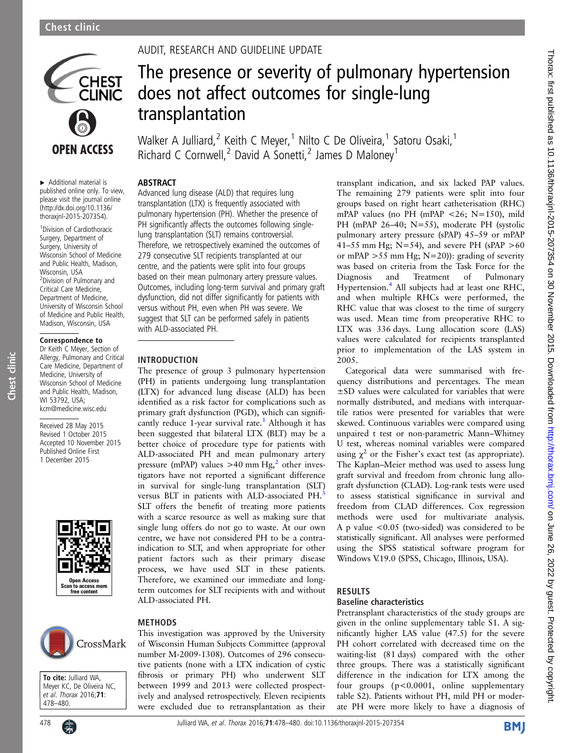

▸ Additional material is published online only. To view, please visit the journal online [\(http://dx.doi.org/](http://dx.doi.org/)[10.1136/](10.1136/thoraxjnl-2015-207354) [thoraxjnl-2015-207354\)](10.1136/thoraxjnl-2015-207354).

1 Division of Cardiothoracic Surgery, Department of Surgery, University of Wisconsin School of Medicine and Public Health, Madison, Wisconsin, USA 2 Division of Pulmonary and Critical Care Medicine, Department of Medicine, University of Wisconsin School of Medicine and Public Health, Madison, Wisconsin, USA

#### Correspondence to

Chest clinic

Chest clinic

Dr Keith C Meyer, Section of Allergy, Pulmonary and Critical Care Medicine, Department of Medicine, University of Wisconsin School of Medicine and Public Health, Madison, WI 53792, USA; kcm@medicine.wisc.edu

Received 28 May 2015 Revised 1 October 2015 Accepted 10 November 2015 Published Online First 1 December 2015



# METHODS

ALD-associated PH.



To cite: Julliard WA, Meyer KC, De Oliveira NC, et al. Thorax 2016;71: 478–480.



tive patients (none with a LTX indication of cystic fibrosis or primary PH) who underwent SLT between 1999 and 2013 were collected prospectively and analysed retrospectively. Eleven recipients were excluded due to retransplantation as their

This investigation was approved by the University of Wisconsin Human Subjects Committee (approval number M-2009-1308). Outcomes of 296 consecu-

AUDIT, RESEARCH AND GUIDELINE UPDATE

transplantation

Advanced lung disease (ALD) that requires lung transplantation (LTX) is frequently associated with pulmonary hypertension (PH). Whether the presence of PH significantly affects the outcomes following singlelung transplantation (SLT) remains controversial. Therefore, we retrospectively examined the outcomes of 279 consecutive SLT recipients transplanted at our centre, and the patients were split into four groups based on their mean pulmonary artery pressure values. Outcomes, including long-term survival and primary graft dysfunction, did not differ significantly for patients with versus without PH, even when PH was severe. We suggest that SLT can be performed safely in patients

The presence of group 3 pulmonary hypertension (PH) in patients undergoing lung transplantation (LTX) for advanced lung disease (ALD) has been identified as a risk factor for complications such as primary graft dysfunction (PGD), which can signifi-cantly reduce [1](#page-2-0)-year survival rate.<sup>1</sup> Although it has been suggested that bilateral LTX (BLT) may be a better choice of procedure type for patients with ALD-associated PH and mean pulmonary artery pressure (mPAP) values  $>40$  mm Hg,<sup>[2](#page-2-0)</sup> other investigators have not reported a significant difference in survival for single-lung transplantation (SLT) versus BLT in patients with ALD-associated PH.<sup>[3](#page-2-0)</sup> SLT offers the benefit of treating more patients with a scarce resource as well as making sure that single lung offers do not go to waste. At our own centre, we have not considered PH to be a contraindication to SLT, and when appropriate for other patient factors such as their primary disease process, we have used SLT in these patients. Therefore, we examined our immediate and longterm outcomes for SLT recipients with and without

ABSTRACT

with ALD-associated PH.

INTRODUCTION

The presence or severity of pulmonary hypertension

does not affect outcomes for single-lung

Richard C Cornwell,<sup>2</sup> David A Sonetti,<sup>2</sup> James D Maloney<sup>1</sup>

Walker A Julliard,<sup>2</sup> Keith C Meyer,<sup>1</sup> Nilto C De Oliveira,<sup>1</sup> Satoru Osaki,<sup>1</sup>

transplant indication, and six lacked PAP values. The remaining 279 patients were split into four groups based on right heart catheterisation (RHC) mPAP values (no PH (mPAP <26;  $N=150$ ), mild PH (mPAP 26-40; N=55), moderate PH (systolic pulmonary artery pressure (sPAP) 45–59 or mPAP 41–55 mm Hg; N=54), and severe PH (sPAP  $>60$ or mPAP  $>55$  mm Hg; N=20)): grading of severity was based on criteria from the Task Force for the Diagnosis and Treatment of Pulmonary Hypertension.<sup>[4](#page-2-0)</sup> All subjects had at least one RHC, and when multiple RHCs were performed, the RHC value that was closest to the time of surgery was used. Mean time from preoperative RHC to LTX was 336 days. Lung allocation score (LAS) values were calculated for recipients transplanted prior to implementation of the LAS system in 2005.

Categorical data were summarised with frequency distributions and percentages. The mean ±SD values were calculated for variables that were normally distributed, and medians with interquartile ratios were presented for variables that were skewed. Continuous variables were compared using unpaired t test or non-parametric Mann–Whitney U test, whereas nominal variables were compared using  $\chi^2$  or the Fisher's exact test (as appropriate). The Kaplan–Meier method was used to assess lung graft survival and freedom from chronic lung allograft dysfunction (CLAD). Log-rank tests were used to assess statistical significance in survival and freedom from CLAD differences. Cox regression methods were used for multivariate analysis. A p value <0.05 (two-sided) was considered to be statistically significant. All analyses were performed using the SPSS statistical software program for Windows V.19.0 (SPSS, Chicago, Illinois, USA).

#### RESULTS

#### Baseline characteristics

Pretransplant characteristics of the study groups are given in the online supplementary table S1. A significantly higher LAS value (47.5) for the severe PH cohort correlated with decreased time on the waiting-list (81 days) compared with the other three groups. There was a statistically significant difference in the indication for LTX among the four groups (p<0.0001, online supplementary table S2). Patients without PH, mild PH or moderate PH were more likely to have a diagnosis of

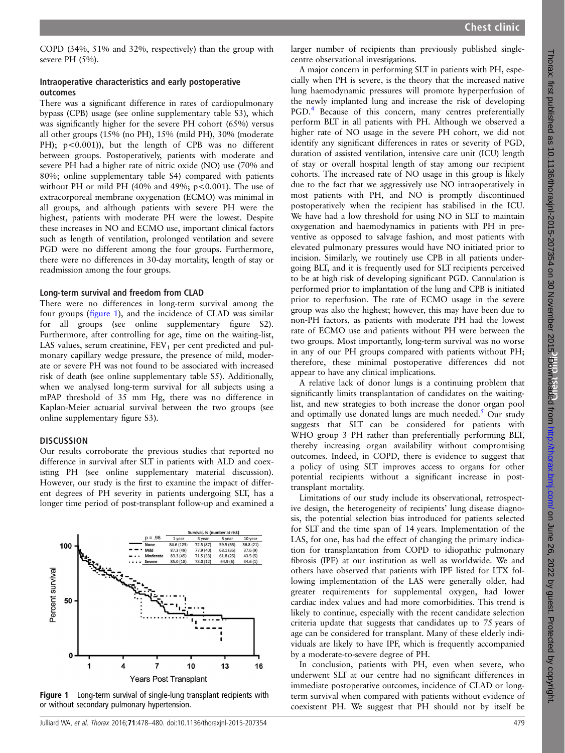COPD (34%, 51% and 32%, respectively) than the group with severe PH (5%).

## Intraoperative characteristics and early postoperative outcomes

There was a significant difference in rates of cardiopulmonary bypass (CPB) usage (see online supplementary table S3), which was significantly higher for the severe PH cohort (65%) versus all other groups (15% (no PH), 15% (mild PH), 30% (moderate PH); p<0.001)), but the length of CPB was no different between groups. Postoperatively, patients with moderate and severe PH had a higher rate of nitric oxide (NO) use (70% and 80%; online supplementary table S4) compared with patients without PH or mild PH (40% and 49%;  $p < 0.001$ ). The use of extracorporeal membrane oxygenation (ECMO) was minimal in all groups, and although patients with severe PH were the highest, patients with moderate PH were the lowest. Despite these increases in NO and ECMO use, important clinical factors such as length of ventilation, prolonged ventilation and severe PGD were no different among the four groups. Furthermore, there were no differences in 30-day mortality, length of stay or readmission among the four groups.

## Long-term survival and freedom from CLAD

There were no differences in long-term survival among the four groups (figure 1), and the incidence of CLAD was similar for all groups (see online supplementary figure S2). Furthermore, after controlling for age, time on the waiting-list, LAS values, serum creatinine,  $FEV<sub>1</sub>$  per cent predicted and pulmonary capillary wedge pressure, the presence of mild, moderate or severe PH was not found to be associated with increased risk of death (see online supplementary table S5). Additionally, when we analysed long-term survival for all subjects using a mPAP threshold of 35 mm Hg, there was no difference in Kaplan-Meier actuarial survival between the two groups (see online supplementary figure S3).

## **DISCUSSION**

Our results corroborate the previous studies that reported no difference in survival after SLT in patients with ALD and coexisting PH (see online supplementary material discussion). However, our study is the first to examine the impact of different degrees of PH severity in patients undergoing SLT, has a longer time period of post-transplant follow-up and examined a



Figure 1 Long-term survival of single-lung transplant recipients with or without secondary pulmonary hypertension.

larger number of recipients than previously published singlecentre observational investigations.

A major concern in performing SLT in patients with PH, especially when PH is severe, is the theory that the increased native lung haemodynamic pressures will promote hyperperfusion of the newly implanted lung and increase the risk of developing PGD.<sup>[4](#page-2-0)</sup> Because of this concern, many centres preferentially perform BLT in all patients with PH. Although we observed a higher rate of NO usage in the severe PH cohort, we did not identify any significant differences in rates or severity of PGD, duration of assisted ventilation, intensive care unit (ICU) length of stay or overall hospital length of stay among our recipient cohorts. The increased rate of NO usage in this group is likely due to the fact that we aggressively use NO intraoperatively in most patients with PH, and NO is promptly discontinued postoperatively when the recipient has stabilised in the ICU. We have had a low threshold for using NO in SLT to maintain oxygenation and haemodynamics in patients with PH in preventive as opposed to salvage fashion, and most patients with elevated pulmonary pressures would have NO initiated prior to incision. Similarly, we routinely use CPB in all patients undergoing BLT, and it is frequently used for SLT recipients perceived to be at high risk of developing significant PGD. Cannulation is performed prior to implantation of the lung and CPB is initiated prior to reperfusion. The rate of ECMO usage in the severe group was also the highest; however, this may have been due to non-PH factors, as patients with moderate PH had the lowest rate of ECMO use and patients without PH were between the two groups. Most importantly, long-term survival was no worse in any of our PH groups compared with patients without PH; therefore, these minimal postoperative differences did not appear to have any clinical implications.

A relative lack of donor lungs is a continuing problem that significantly limits transplantation of candidates on the waitinglist, and new strategies to both increase the donor organ pool and optimally use donated lungs are much needed. $5$  Our study suggests that SLT can be considered for patients with WHO group 3 PH rather than preferentially performing BLT, thereby increasing organ availability without compromising outcomes. Indeed, in COPD, there is evidence to suggest that a policy of using SLT improves access to organs for other potential recipients without a significant increase in posttransplant mortality.

Limitations of our study include its observational, retrospective design, the heterogeneity of recipients' lung disease diagnosis, the potential selection bias introduced for patients selected for SLT and the time span of 14 years. Implementation of the LAS, for one, has had the effect of changing the primary indication for transplantation from COPD to idiopathic pulmonary fibrosis (IPF) at our institution as well as worldwide. We and others have observed that patients with IPF listed for LTX following implementation of the LAS were generally older, had greater requirements for supplemental oxygen, had lower cardiac index values and had more comorbidities. This trend is likely to continue, especially with the recent candidate selection criteria update that suggests that candidates up to 75 years of age can be considered for transplant. Many of these elderly individuals are likely to have IPF, which is frequently accompanied by a moderate-to-severe degree of PH.

In conclusion, patients with PH, even when severe, who underwent SLT at our centre had no significant differences in immediate postoperative outcomes, incidence of CLAD or longterm survival when compared with patients without evidence of coexistent PH. We suggest that PH should not by itself be